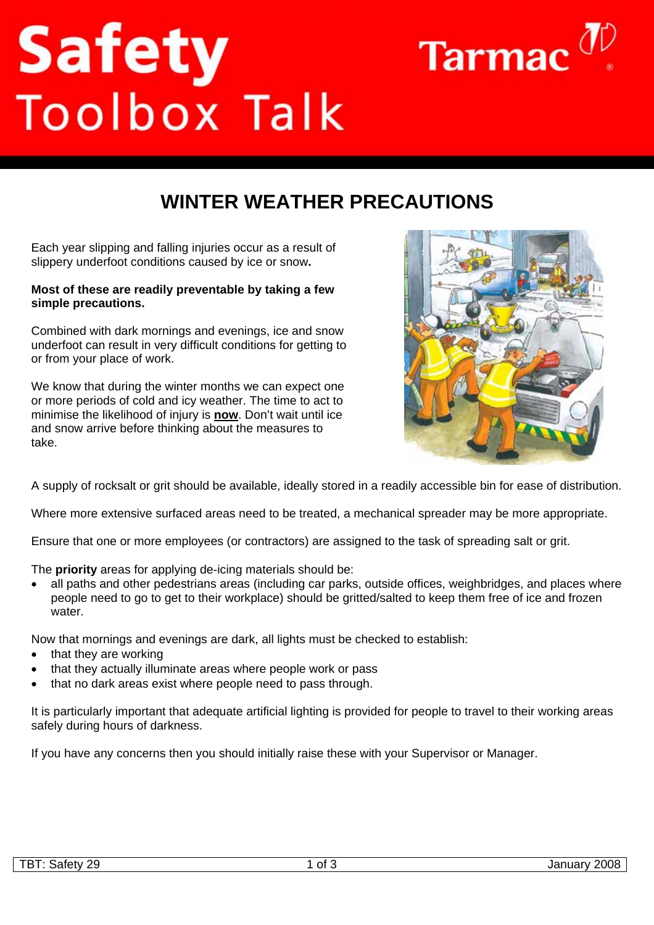## **Safety**<br>Toolbox Talk



## **WINTER WEATHER PRECAUTIONS**

Each year slipping and falling injuries occur as a result of slippery underfoot conditions caused by ice or snow**.** 

## **Most of these are readily preventable by taking a few simple precautions.**

Combined with dark mornings and evenings, ice and snow underfoot can result in very difficult conditions for getting to or from your place of work.

We know that during the winter months we can expect one or more periods of cold and icy weather. The time to act to minimise the likelihood of injury is **now**. Don't wait until ice and snow arrive before thinking about the measures to take.



A supply of rocksalt or grit should be available, ideally stored in a readily accessible bin for ease of distribution.

Where more extensive surfaced areas need to be treated, a mechanical spreader may be more appropriate.

Ensure that one or more employees (or contractors) are assigned to the task of spreading salt or grit.

The **priority** areas for applying de-icing materials should be:

• all paths and other pedestrians areas (including car parks, outside offices, weighbridges, and places where people need to go to get to their workplace) should be gritted/salted to keep them free of ice and frozen water.

Now that mornings and evenings are dark, all lights must be checked to establish:

- that they are working
- that they actually illuminate areas where people work or pass
- that no dark areas exist where people need to pass through.

It is particularly important that adequate artificial lighting is provided for people to travel to their working areas safely during hours of darkness.

If you have any concerns then you should initially raise these with your Supervisor or Manager.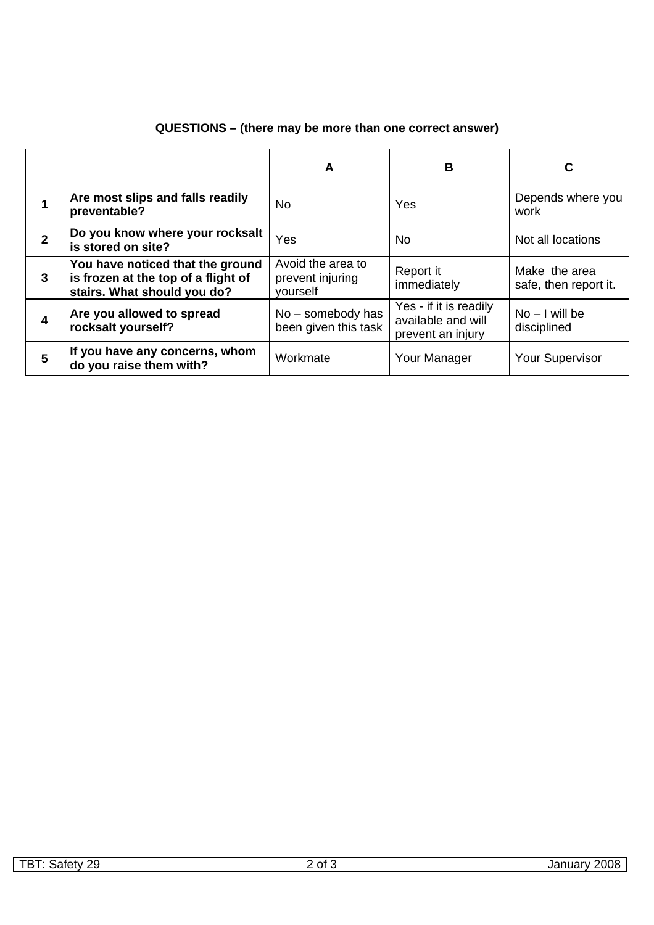|                |                                                                                                        | A                                                 | B                                                                 | C                                      |
|----------------|--------------------------------------------------------------------------------------------------------|---------------------------------------------------|-------------------------------------------------------------------|----------------------------------------|
|                | Are most slips and falls readily<br>preventable?                                                       | No                                                | Yes                                                               | Depends where you<br>work              |
| $\overline{2}$ | Do you know where your rocksalt<br>is stored on site?                                                  | Yes                                               | No.                                                               | Not all locations                      |
| 3              | You have noticed that the ground<br>is frozen at the top of a flight of<br>stairs. What should you do? | Avoid the area to<br>prevent injuring<br>vourself | Report it<br>immediately                                          | Make the area<br>safe, then report it. |
| 4              | Are you allowed to spread<br>rocksalt yourself?                                                        | No - somebody has<br>been given this task         | Yes - if it is readily<br>available and will<br>prevent an injury | $No - I will be$<br>disciplined        |
| 5              | If you have any concerns, whom<br>do you raise them with?                                              | Workmate                                          | Your Manager                                                      | <b>Your Supervisor</b>                 |

## **QUESTIONS – (there may be more than one correct answer)**